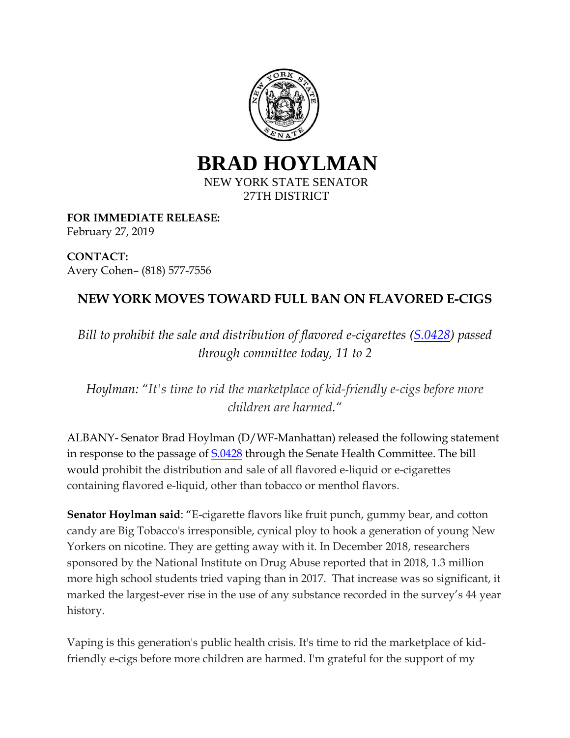

**BRAD HOYLMAN** NEW YORK STATE SENATOR 27TH DISTRICT

**FOR IMMEDIATE RELEASE:** February 27, 2019

**CONTACT:**  Avery Cohen– (818) 577-7556

## **NEW YORK MOVES TOWARD FULL BAN ON FLAVORED E-CIGS**

*Bill to prohibit the sale and distribution of flavored e-cigarettes [\(S.0428\)](https://www.nysenate.gov/legislation/bills/2019/s428) passed through committee today, 11 to 2*

*Hoylman: "It's time to rid the marketplace of kid-friendly e-cigs before more children are harmed."*

ALBANY- Senator Brad Hoylman (D/WF-Manhattan) released the following statement in response to the passage of  $\frac{5.0428}{2}$  through the Senate Health Committee. The bill would prohibit the distribution and sale of all flavored e-liquid or e-cigarettes containing flavored e-liquid, other than tobacco or menthol flavors.

**Senator Hoylman said**: "E-cigarette flavors like fruit punch, gummy bear, and cotton candy are Big Tobacco's irresponsible, cynical ploy to hook a generation of young New Yorkers on nicotine. They are getting away with it. In December 2018, researchers sponsored by the National Institute on Drug Abuse reported that in 2018, 1.3 million more high school students tried vaping than in 2017. That increase was so significant, it marked the largest-ever rise in the use of any substance recorded in the survey's 44 year history.

Vaping is this generation's public health crisis. It's time to rid the marketplace of kidfriendly e-cigs before more children are harmed. I'm grateful for the support of my